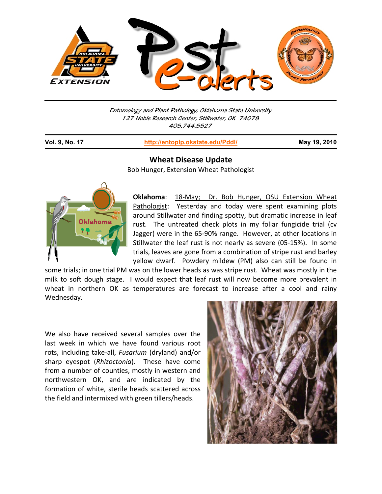

Entomology and Plant Pathology, Oklahoma State University 127 Noble Research Center, Stillwater, OK 74078 405.744.5527

j

**Vol. 9, No. 17 http://entoplp.okstate.edu/Pddl/ May 19, 2010**

## **Wheat Disease Update**

Bob Hunger, Extension Wheat Pathologist



Oklahoma: 18-May; Dr. Bob Hunger, OSU Extension Wheat Pathologist: Yesterday and today were spent examining plots around Stillwater and finding spotty, but dramatic increase in leaf rust. The untreated check plots in my foliar fungicide trial (cv Jagger) were in the 65‐90% range. However, at other locations in Stillwater the leaf rust is not nearly as severe (05‐15%). In some trials, leaves are gone from a combination of stripe rust and barley yellow dwarf. Powdery mildew (PM) also can still be found in

some trials; in one trial PM was on the lower heads as was stripe rust. Wheat was mostly in the milk to soft dough stage. I would expect that leaf rust will now become more prevalent in wheat in northern OK as temperatures are forecast to increase after a cool and rainy Wednesday.

We also have received several samples over the last week in which we have found various root rots, including take‐all, *Fusarium* (dryland) and/or sharp eyespot (*Rhizoctonia*). These have come from a number of counties, mostly in western and northwestern OK, and are indicated by the formation of white, sterile heads scattered across the field and intermixed with green tillers/heads.